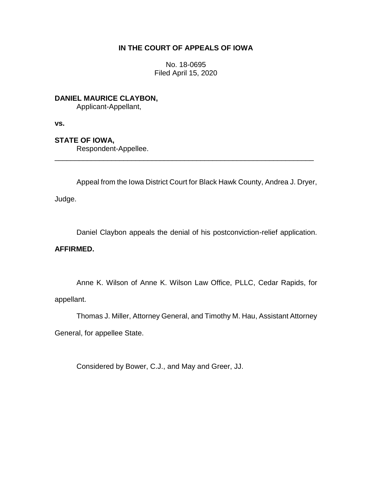# **IN THE COURT OF APPEALS OF IOWA**

No. 18-0695 Filed April 15, 2020

**DANIEL MAURICE CLAYBON,** Applicant-Appellant,

**vs.**

# **STATE OF IOWA,**

Respondent-Appellee.

Appeal from the Iowa District Court for Black Hawk County, Andrea J. Dryer,

\_\_\_\_\_\_\_\_\_\_\_\_\_\_\_\_\_\_\_\_\_\_\_\_\_\_\_\_\_\_\_\_\_\_\_\_\_\_\_\_\_\_\_\_\_\_\_\_\_\_\_\_\_\_\_\_\_\_\_\_\_\_\_\_

Judge.

Daniel Claybon appeals the denial of his postconviction-relief application.

## **AFFIRMED.**

Anne K. Wilson of Anne K. Wilson Law Office, PLLC, Cedar Rapids, for appellant.

Thomas J. Miller, Attorney General, and Timothy M. Hau, Assistant Attorney

General, for appellee State.

Considered by Bower, C.J., and May and Greer, JJ.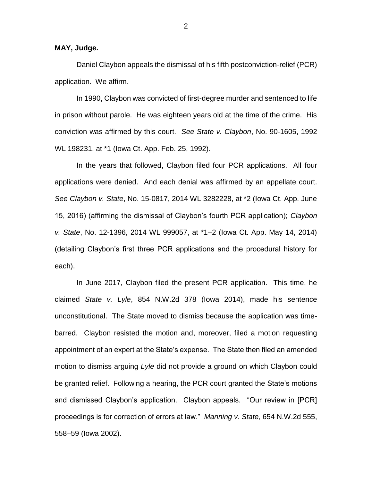### **MAY, Judge.**

Daniel Claybon appeals the dismissal of his fifth postconviction-relief (PCR) application. We affirm.

In 1990, Claybon was convicted of first-degree murder and sentenced to life in prison without parole. He was eighteen years old at the time of the crime. His conviction was affirmed by this court. *See State v. Claybon*, No. 90-1605, 1992 WL 198231, at \*1 (Iowa Ct. App. Feb. 25, 1992).

In the years that followed, Claybon filed four PCR applications. All four applications were denied. And each denial was affirmed by an appellate court. *See Claybon v. State*, No. 15-0817, 2014 WL 3282228, at \*2 (Iowa Ct. App. June 15, 2016) (affirming the dismissal of Claybon's fourth PCR application); *Claybon v. State*, No. 12-1396, 2014 WL 999057, at \*1–2 (Iowa Ct. App. May 14, 2014) (detailing Claybon's first three PCR applications and the procedural history for each).

In June 2017, Claybon filed the present PCR application. This time, he claimed *State v. Lyle*, 854 N.W.2d 378 (Iowa 2014), made his sentence unconstitutional. The State moved to dismiss because the application was timebarred. Claybon resisted the motion and, moreover, filed a motion requesting appointment of an expert at the State's expense. The State then filed an amended motion to dismiss arguing *Lyle* did not provide a ground on which Claybon could be granted relief. Following a hearing, the PCR court granted the State's motions and dismissed Claybon's application. Claybon appeals. "Our review in [PCR] proceedings is for correction of errors at law." *Manning v. State*, 654 N.W.2d 555, 558–59 (Iowa 2002).

2